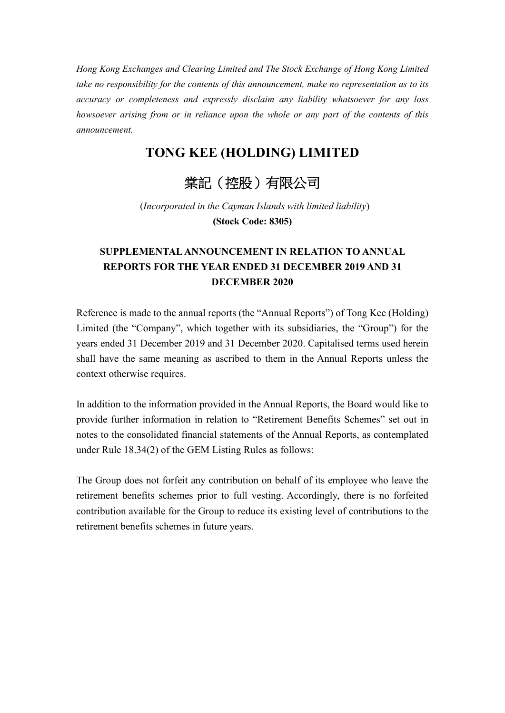*Hong Kong Exchanges and Clearing Limited and The Stock Exchange of Hong Kong Limited take no responsibility for the contents of this announcement, make no representation as to its accuracy or completeness and expressly disclaim any liability whatsoever for any loss howsoever arising from or in reliance upon the whole or any part of the contents of this announcement.* 

## **TONG KEE (HOLDING) LIMITED**

## 棠記(控股)有限公司

(*Incorporated in the Cayman Islands with limited liability*) **(Stock Code: 8305)**

## **SUPPLEMENTAL ANNOUNCEMENT IN RELATION TO ANNUAL REPORTS FOR THE YEAR ENDED 31 DECEMBER 2019 AND 31 DECEMBER 2020**

Reference is made to the annual reports (the "Annual Reports") of Tong Kee (Holding) Limited (the "Company", which together with its subsidiaries, the "Group") for the years ended 31 December 2019 and 31 December 2020. Capitalised terms used herein shall have the same meaning as ascribed to them in the Annual Reports unless the context otherwise requires.

In addition to the information provided in the Annual Reports, the Board would like to provide further information in relation to "Retirement Benefits Schemes" set out in notes to the consolidated financial statements of the Annual Reports, as contemplated under Rule 18.34(2) of the GEM Listing Rules as follows:

The Group does not forfeit any contribution on behalf of its employee who leave the retirement benefits schemes prior to full vesting. Accordingly, there is no forfeited contribution available for the Group to reduce its existing level of contributions to the retirement benefits schemes in future years.